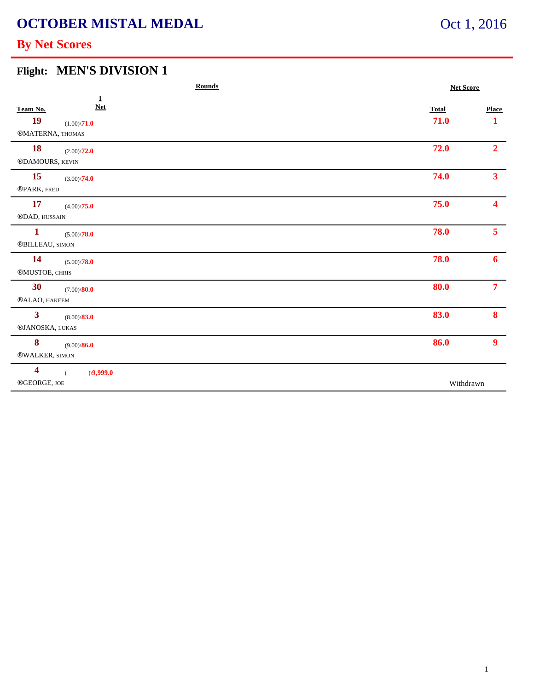# **OCTOBER MISTAL MEDAL**

### Oct 1, 2016

### **By Net Scores**

### **Flight: MEN'S DIVISION 1**

| <b>Rounds</b>                                                                                    |                      | <b>Net Score</b>  |  |
|--------------------------------------------------------------------------------------------------|----------------------|-------------------|--|
| $\overline{1}$<br><b>Net</b><br>Team No.<br><b>19</b><br>$(1.00)\sqrt{71.0}$<br>®MATERNA, THOMAS | <b>Total</b><br>71.0 | <b>Place</b><br>1 |  |
| <b>18</b><br>$(2.00)\sqrt{72.0}$<br>®DAMOURS, KEVIN                                              | 72.0                 | 2 <sup>1</sup>    |  |
| <b>15</b><br>$(3.00)\sqrt{74.0}$<br>®PARK, FRED                                                  | 74.0                 | 3 <sup>1</sup>    |  |
| <b>17</b><br>$(4.00)\sqrt{75.0}$<br>®DAD, HUSSAIN                                                | 75.0                 | 4                 |  |
| $\mathbf{1}$<br>$(5.00)\sqrt{78.0}$<br>$\scriptstyle\rm\otimes BILLEAU,$ SIMON                   | 78.0                 | 5 <sup>1</sup>    |  |
| <b>14</b><br>$(5.00)\sqrt{78.0}$<br>®MUSTOE, CHRIS                                               | 78.0                 | 6                 |  |
| 30 <sup>°</sup><br>$(7.00)\$ $80.0$<br>®ALAO, HAKEEM                                             | 80.0                 | 7 <sup>7</sup>    |  |
| $\mathbf{3}$<br>$(8.00)\$ \ <b>83.0</b><br>®JANOSKA, LUKAS                                       | 83.0                 | 8                 |  |
| 8<br>$(9.00)\$ 86.0<br>®WALKER, SIMON                                                            | 86.0                 | 9 <sup>°</sup>    |  |
| $\overline{\mathbf{4}}$<br>$\rangle$ \9,999.0<br>$\overline{(\ }$<br>$\circledR$ GEORGE, JOE     | Withdrawn            |                   |  |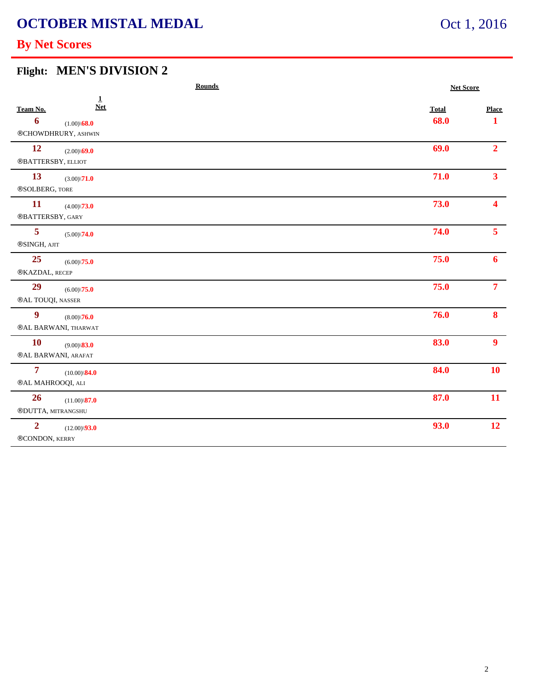## **OCTOBER MISTAL MEDAL**

### Oct 1, 2016

### **By Net Scores**

#### **Flight: MEN'S DIVISION 2**

| <b>Rounds</b>                       |                                              | <b>Net Score</b> |              |                |
|-------------------------------------|----------------------------------------------|------------------|--------------|----------------|
| Team No.                            | $\mathbf{1}$<br><b>Net</b>                   |                  | <b>Total</b> | Place          |
| 6                                   | $(1.00)\$ 68.0<br>®CHOWDHRURY, ASHWIN        |                  | 68.0         | 1              |
| 12<br>®BATTERSBY, ELLIOT            | $(2.00)\$ <b>69.0</b>                        |                  | 69.0         | 2 <sup>1</sup> |
| 13<br>®SOLBERG, TORE                | $(3.00)\sqrt{71.0}$                          |                  | 71.0         | 3 <sup>1</sup> |
| <b>11</b><br>®BATTERSBY, GARY       | $(4.00)\sqrt{73.0}$                          |                  | 73.0         | 4              |
| 5<br>®SINGH, AJIT                   | $(5.00)\sqrt{74.0}$                          |                  | 74.0         | 5 <sup>1</sup> |
| 25<br>®KAZDAL, RECEP                | $(6.00)\backslash\mathbf{75.0}$              |                  | 75.0         | 6              |
| 29<br>®AL TOUQI, NASSER             | $(6.00)\sqrt{75.0}$                          |                  | 75.0         | 7 <sup>7</sup> |
| 9                                   | $(8.00)\sqrt{76.0}$<br>®AL BARWANI, THARWAT  |                  | 76.0         | 8 <sup>°</sup> |
| <b>10</b>                           | $(9.00)\$ <b>83.0</b><br>®AL BARWANI, ARAFAT |                  | 83.0         | 9 <sup>1</sup> |
| $\overline{7}$<br>®AL MAHROOQI, ALI | $(10.00)\$ <sup>84.0</sup>                   |                  | 84.0         | <b>10</b>      |
| 26<br>®DUTTA, MITRANGSHU            | $(11.00)\$ <sup>87.0</sup>                   |                  | 87.0         | 11             |
| $\overline{2}$<br>®CONDON, KERRY    | $(12.00)\sqrt{93.0}$                         |                  | 93.0         | 12             |